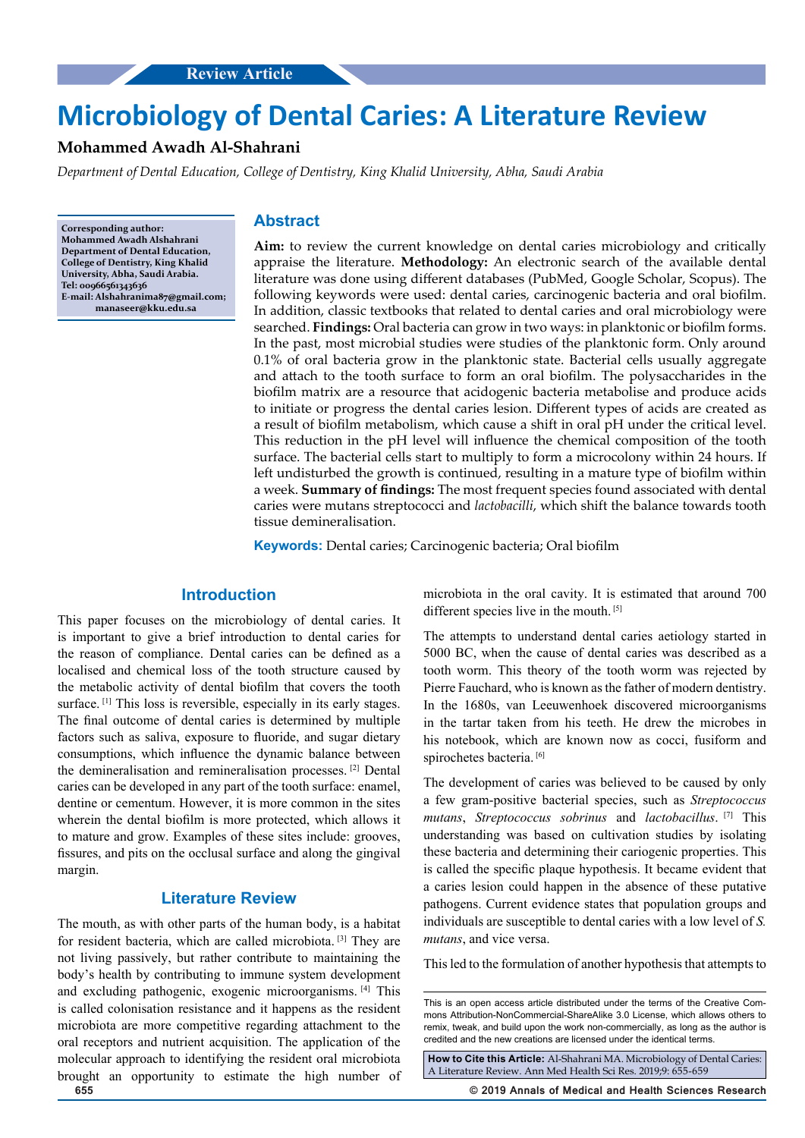# **Microbiology of Dental Caries: A Literature Review**

# **Mohammed Awadh Al-Shahrani**

*Department of Dental Education, College of Dentistry, King Khalid University, Abha, Saudi Arabia*

**Corresponding author: Mohammed Awadh Alshahrani Department of Dental Education, College of Dentistry, King Khalid University, Abha, Saudi Arabia. Tel: 00966561343636 E-mail: Alshahranima87@gmail.com; manaseer@kku.edu.sa**

#### **Abstract**

**Aim:** to review the current knowledge on dental caries microbiology and critically appraise the literature. **Methodology:** An electronic search of the available dental literature was done using different databases (PubMed, Google Scholar, Scopus). The following keywords were used: dental caries, carcinogenic bacteria and oral biofilm. In addition, classic textbooks that related to dental caries and oral microbiology were searched. **Findings:** Oral bacteria can grow in two ways: in planktonic or biofilm forms. In the past, most microbial studies were studies of the planktonic form. Only around 0.1% of oral bacteria grow in the planktonic state. Bacterial cells usually aggregate and attach to the tooth surface to form an oral biofilm. The polysaccharides in the biofilm matrix are a resource that acidogenic bacteria metabolise and produce acids to initiate or progress the dental caries lesion. Different types of acids are created as a result of biofilm metabolism, which cause a shift in oral pH under the critical level. This reduction in the pH level will influence the chemical composition of the tooth surface. The bacterial cells start to multiply to form a microcolony within 24 hours. If left undisturbed the growth is continued, resulting in a mature type of biofilm within a week. **Summary of findings:** The most frequent species found associated with dental caries were mutans streptococci and *lactobacilli*, which shift the balance towards tooth tissue demineralisation.

**Keywords:** Dental caries; Carcinogenic bacteria; Oral biofilm

### **Introduction**

This paper focuses on the microbiology of dental caries. It is important to give a brief introduction to dental caries for the reason of compliance. Dental caries can be defined as a localised and chemical loss of the tooth structure caused by the metabolic activity of dental biofilm that covers the tooth surface. [1] This loss is reversible, especially in its early stages. The final outcome of dental caries is determined by multiple factors such as saliva, exposure to fluoride, and sugar dietary consumptions, which influence the dynamic balance between the demineralisation and remineralisation processes. [2] Dental caries can be developed in any part of the tooth surface: enamel, dentine or cementum. However, it is more common in the sites wherein the dental biofilm is more protected, which allows it to mature and grow. Examples of these sites include: grooves, fissures, and pits on the occlusal surface and along the gingival margin.

# **Literature Review**

The mouth, as with other parts of the human body, is a habitat for resident bacteria, which are called microbiota. [3] They are not living passively, but rather contribute to maintaining the body's health by contributing to immune system development and excluding pathogenic, exogenic microorganisms. [4] This is called colonisation resistance and it happens as the resident microbiota are more competitive regarding attachment to the oral receptors and nutrient acquisition. The application of the molecular approach to identifying the resident oral microbiota brought an opportunity to estimate the high number of microbiota in the oral cavity. It is estimated that around 700 different species live in the mouth. [5]

The attempts to understand dental caries aetiology started in 5000 BC, when the cause of dental caries was described as a tooth worm. This theory of the tooth worm was rejected by Pierre Fauchard, who is known as the father of modern dentistry. In the 1680s, van Leeuwenhoek discovered microorganisms in the tartar taken from his teeth. He drew the microbes in his notebook, which are known now as cocci, fusiform and spirochetes bacteria. [6]

The development of caries was believed to be caused by only a few gram-positive bacterial species, such as *Streptococcus mutans*, *Streptococcus sobrinus* and *lactobacillus*. [7] This understanding was based on cultivation studies by isolating these bacteria and determining their cariogenic properties. This is called the specific plaque hypothesis. It became evident that a caries lesion could happen in the absence of these putative pathogens. Current evidence states that population groups and individuals are susceptible to dental caries with a low level of *S. mutans*, and vice versa.

This led to the formulation of another hypothesis that attempts to

**How to Cite this Article:** Al-Shahrani MA. Microbiology of Dental Caries: A Literature Review. Ann Med Health Sci Res. 2019;9: 655-659

**655 © 2019 Annals of Medical and Health Sciences Research** 

This is an open access article distributed under the terms of the Creative Commons Attribution-NonCommercial-ShareAlike 3.0 License, which allows others to remix, tweak, and build upon the work non‑commercially, as long as the author is credited and the new creations are licensed under the identical terms.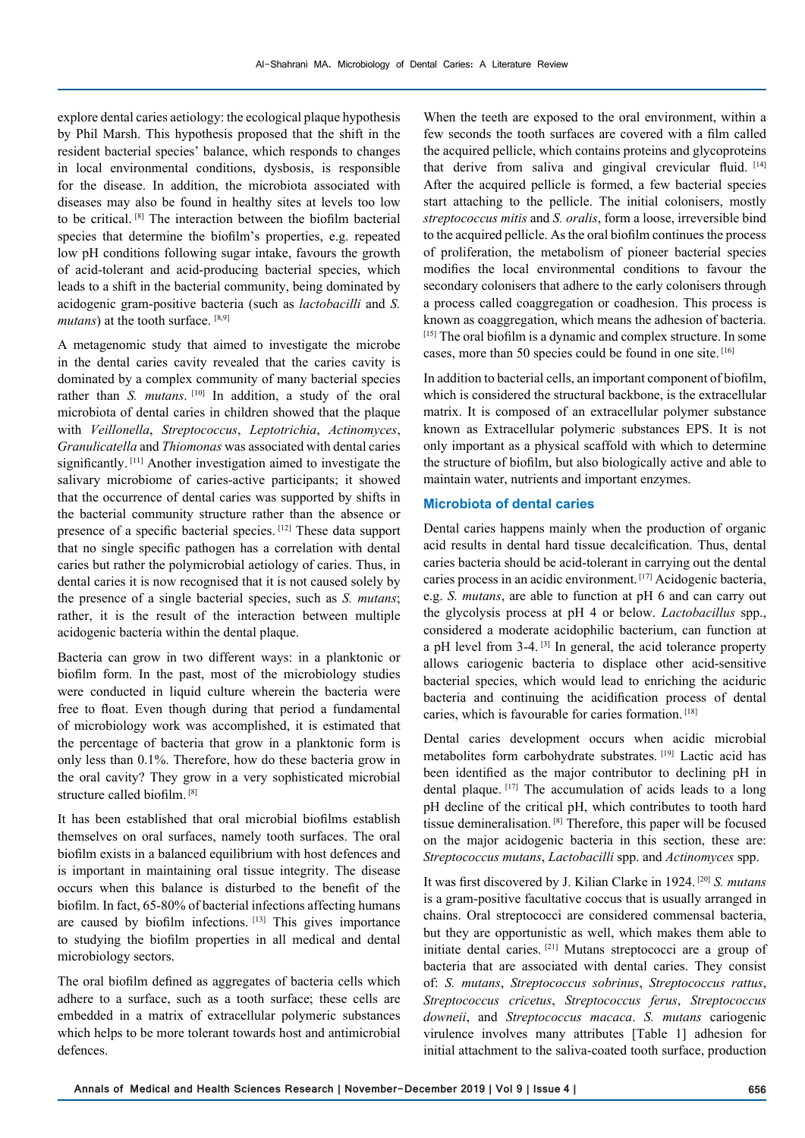explore dental caries aetiology: the ecological plaque hypothesis by Phil Marsh. This hypothesis proposed that the shift in the resident bacterial species' balance, which responds to changes in local environmental conditions, dysbosis, is responsible for the disease. In addition, the microbiota associated with diseases may also be found in healthy sites at levels too low to be critical. [8] The interaction between the biofilm bacterial species that determine the biofilm's properties, e.g. repeated low pH conditions following sugar intake, favours the growth of acid-tolerant and acid-producing bacterial species, which leads to a shift in the bacterial community, being dominated by acidogenic gram-positive bacteria (such as *lactobacilli* and *S. mutans*) at the tooth surface. [8,9]

A metagenomic study that aimed to investigate the microbe in the dental caries cavity revealed that the caries cavity is dominated by a complex community of many bacterial species rather than *S. mutans*.<sup>[10]</sup> In addition, a study of the oral microbiota of dental caries in children showed that the plaque with *Veillonella*, *Streptococcus*, *Leptotrichia*, *Actinomyces*, *Granulicatella* and *Thiomonas* was associated with dental caries significantly. [11] Another investigation aimed to investigate the salivary microbiome of caries-active participants; it showed that the occurrence of dental caries was supported by shifts in the bacterial community structure rather than the absence or presence of a specific bacterial species. [12] These data support that no single specific pathogen has a correlation with dental caries but rather the polymicrobial aetiology of caries. Thus, in dental caries it is now recognised that it is not caused solely by the presence of a single bacterial species, such as *S. mutans*; rather, it is the result of the interaction between multiple acidogenic bacteria within the dental plaque.

Bacteria can grow in two different ways: in a planktonic or biofilm form. In the past, most of the microbiology studies were conducted in liquid culture wherein the bacteria were free to float. Even though during that period a fundamental of microbiology work was accomplished, it is estimated that the percentage of bacteria that grow in a planktonic form is only less than 0.1%. Therefore, how do these bacteria grow in the oral cavity? They grow in a very sophisticated microbial structure called biofilm. [8]

It has been established that oral microbial biofilms establish themselves on oral surfaces, namely tooth surfaces. The oral biofilm exists in a balanced equilibrium with host defences and is important in maintaining oral tissue integrity. The disease occurs when this balance is disturbed to the benefit of the biofilm. In fact, 65-80% of bacterial infections affecting humans are caused by biofilm infections. [13] This gives importance to studying the biofilm properties in all medical and dental microbiology sectors.

The oral biofilm defined as aggregates of bacteria cells which adhere to a surface, such as a tooth surface; these cells are embedded in a matrix of extracellular polymeric substances which helps to be more tolerant towards host and antimicrobial defences.

When the teeth are exposed to the oral environment, within a few seconds the tooth surfaces are covered with a film called the acquired pellicle, which contains proteins and glycoproteins that derive from saliva and gingival crevicular fluid. [14] After the acquired pellicle is formed, a few bacterial species start attaching to the pellicle. The initial colonisers, mostly *streptococcus mitis* and *S. oralis*, form a loose, irreversible bind to the acquired pellicle. As the oral biofilm continues the process of proliferation, the metabolism of pioneer bacterial species modifies the local environmental conditions to favour the secondary colonisers that adhere to the early colonisers through a process called coaggregation or coadhesion. This process is known as coaggregation, which means the adhesion of bacteria. [15] The oral biofilm is a dynamic and complex structure. In some cases, more than 50 species could be found in one site. [16]

In addition to bacterial cells, an important component of biofilm, which is considered the structural backbone, is the extracellular matrix. It is composed of an extracellular polymer substance known as Extracellular polymeric substances EPS. It is not only important as a physical scaffold with which to determine the structure of biofilm, but also biologically active and able to maintain water, nutrients and important enzymes.

#### **Microbiota of dental caries**

Dental caries happens mainly when the production of organic acid results in dental hard tissue decalcification. Thus, dental caries bacteria should be acid-tolerant in carrying out the dental caries process in an acidic environment. [17] Acidogenic bacteria, e.g. *S. mutans*, are able to function at pH 6 and can carry out the glycolysis process at pH 4 or below. *Lactobacillus* spp., considered a moderate acidophilic bacterium, can function at a pH level from 3-4. [3] In general, the acid tolerance property allows cariogenic bacteria to displace other acid-sensitive bacterial species, which would lead to enriching the aciduric bacteria and continuing the acidification process of dental caries, which is favourable for caries formation. [18]

Dental caries development occurs when acidic microbial metabolites form carbohydrate substrates. [19] Lactic acid has been identified as the major contributor to declining pH in dental plaque. [17] The accumulation of acids leads to a long pH decline of the critical pH, which contributes to tooth hard tissue demineralisation. [8] Therefore, this paper will be focused on the major acidogenic bacteria in this section, these are: *Streptococcus mutans*, *Lactobacilli* spp. and *Actinomyces* spp.

It was first discovered by J. Kilian Clarke in 1924. [20] *S. mutans* is a gram-positive facultative coccus that is usually arranged in chains. Oral streptococci are considered commensal bacteria, but they are opportunistic as well, which makes them able to initiate dental caries. [21] Mutans streptococci are a group of bacteria that are associated with dental caries. They consist of: *S. mutans*, *Streptococcus sobrinus*, *Streptococcus rattus*, *Streptococcus cricetus*, *Streptococcus ferus*, *Streptococcus downeii*, and *Streptococcus macaca*. *S. mutans* cariogenic virulence involves many attributes [Table 1] adhesion for initial attachment to the saliva-coated tooth surface, production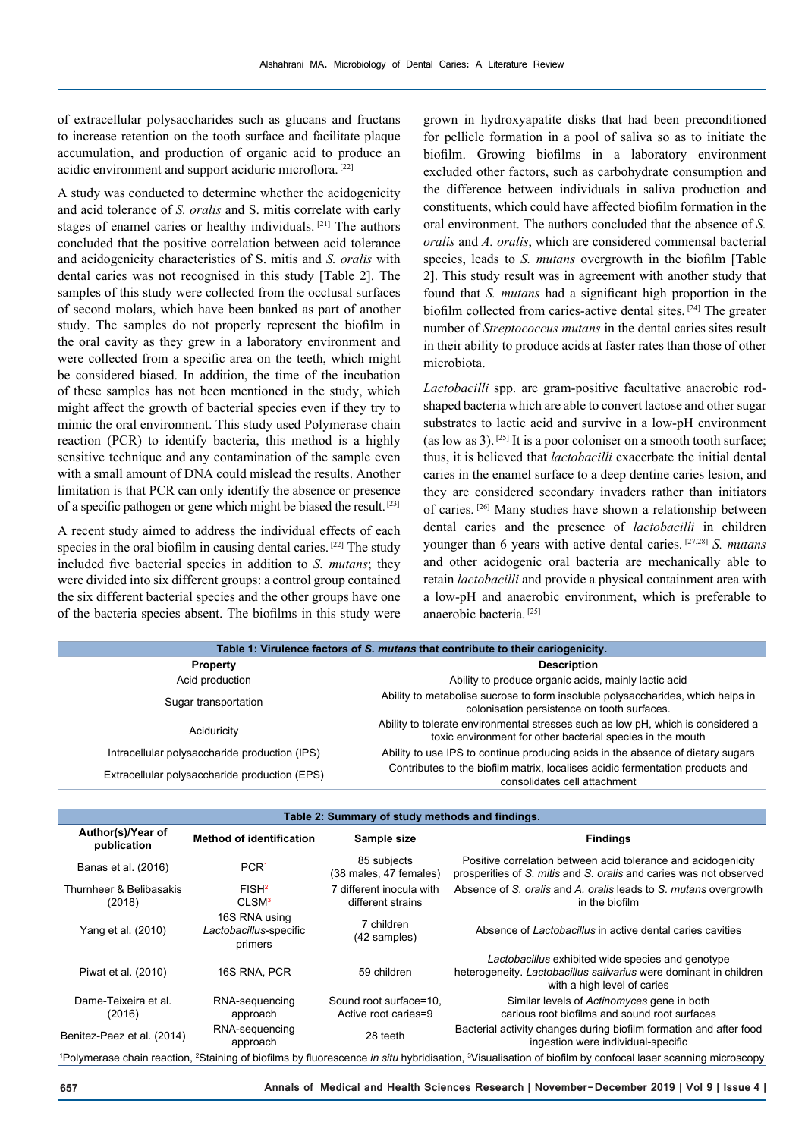of extracellular polysaccharides such as glucans and fructans to increase retention on the tooth surface and facilitate plaque accumulation, and production of organic acid to produce an acidic environment and support aciduric microflora. [22]

A study was conducted to determine whether the acidogenicity and acid tolerance of *S. oralis* and S. mitis correlate with early stages of enamel caries or healthy individuals. [21] The authors concluded that the positive correlation between acid tolerance and acidogenicity characteristics of S. mitis and *S. oralis* with dental caries was not recognised in this study [Table 2]. The samples of this study were collected from the occlusal surfaces of second molars, which have been banked as part of another study. The samples do not properly represent the biofilm in the oral cavity as they grew in a laboratory environment and were collected from a specific area on the teeth, which might be considered biased. In addition, the time of the incubation of these samples has not been mentioned in the study, which might affect the growth of bacterial species even if they try to mimic the oral environment. This study used Polymerase chain reaction (PCR) to identify bacteria, this method is a highly sensitive technique and any contamination of the sample even with a small amount of DNA could mislead the results. Another limitation is that PCR can only identify the absence or presence of a specific pathogen or gene which might be biased the result. [23]

A recent study aimed to address the individual effects of each species in the oral biofilm in causing dental caries. <sup>[22]</sup> The study included five bacterial species in addition to *S. mutans*; they were divided into six different groups: a control group contained the six different bacterial species and the other groups have one of the bacteria species absent. The biofilms in this study were

grown in hydroxyapatite disks that had been preconditioned for pellicle formation in a pool of saliva so as to initiate the biofilm. Growing biofilms in a laboratory environment excluded other factors, such as carbohydrate consumption and the difference between individuals in saliva production and constituents, which could have affected biofilm formation in the oral environment. The authors concluded that the absence of *S. oralis* and *A. oralis*, which are considered commensal bacterial species, leads to *S. mutans* overgrowth in the biofilm [Table 2]. This study result was in agreement with another study that found that *S. mutans* had a significant high proportion in the biofilm collected from caries-active dental sites. [24] The greater number of *Streptococcus mutans* in the dental caries sites result in their ability to produce acids at faster rates than those of other microbiota.

*Lactobacilli* spp. are gram-positive facultative anaerobic rodshaped bacteria which are able to convert lactose and other sugar substrates to lactic acid and survive in a low-pH environment (as low as 3).  $[25]$  It is a poor coloniser on a smooth tooth surface; thus, it is believed that *lactobacilli* exacerbate the initial dental caries in the enamel surface to a deep dentine caries lesion, and they are considered secondary invaders rather than initiators of caries. [26] Many studies have shown a relationship between dental caries and the presence of *lactobacilli* in children younger than 6 years with active dental caries. [27,28] *S. mutans* and other acidogenic oral bacteria are mechanically able to retain *lactobacilli* and provide a physical containment area with a low-pH and anaerobic environment, which is preferable to anaerobic bacteria. [25]

| Table 1: Virulence factors of S. mutans that contribute to their cariogenicity. |                                                                                                                                                |  |  |
|---------------------------------------------------------------------------------|------------------------------------------------------------------------------------------------------------------------------------------------|--|--|
| <b>Property</b>                                                                 | <b>Description</b>                                                                                                                             |  |  |
| Acid production                                                                 | Ability to produce organic acids, mainly lactic acid                                                                                           |  |  |
| Sugar transportation                                                            | Ability to metabolise sucrose to form insoluble polysaccharides, which helps in<br>colonisation persistence on tooth surfaces.                 |  |  |
| Aciduricity                                                                     | Ability to tolerate environmental stresses such as low pH, which is considered a<br>toxic environment for other bacterial species in the mouth |  |  |
| Intracellular polysaccharide production (IPS)                                   | Ability to use IPS to continue producing acids in the absence of dietary sugars                                                                |  |  |
| Extracellular polysaccharide production (EPS)                                   | Contributes to the biofilm matrix, localises acidic fermentation products and<br>consolidates cell attachment                                  |  |  |

| Table 2: Summary of study methods and findings. |                                                    |                                                |                                                                                                                                                                                                   |
|-------------------------------------------------|----------------------------------------------------|------------------------------------------------|---------------------------------------------------------------------------------------------------------------------------------------------------------------------------------------------------|
| Author(s)/Year of<br>publication                | <b>Method of identification</b>                    | Sample size                                    | <b>Findings</b>                                                                                                                                                                                   |
| Banas et al. (2016)                             | PCR <sup>1</sup>                                   | 85 subjects<br>(38 males, 47 females)          | Positive correlation between acid tolerance and acidogenicity<br>prosperities of S. mitis and S. oralis and caries was not observed                                                               |
| Thurnheer & Belibasakis<br>(2018)               | FISH <sup>2</sup><br>CLSM <sup>3</sup>             | 7 different inocula with<br>different strains  | Absence of S. oralis and A. oralis leads to S. mutans overgrowth<br>in the biofilm                                                                                                                |
| Yang et al. (2010)                              | 16S RNA using<br>Lactobacillus-specific<br>primers | 7 children<br>(42 samples)                     | Absence of Lactobacillus in active dental caries cavities                                                                                                                                         |
| Piwat et al. (2010)                             | 16S RNA, PCR                                       | 59 children                                    | Lactobacillus exhibited wide species and genotype<br>heterogeneity. Lactobacillus salivarius were dominant in children<br>with a high level of caries                                             |
| Dame-Teixeira et al.<br>(2016)                  | RNA-sequencing<br>approach                         | Sound root surface=10.<br>Active root caries=9 | Similar levels of Actinomyces gene in both<br>carious root biofilms and sound root surfaces                                                                                                       |
| Benitez-Paez et al. (2014)                      | RNA-sequencing<br>approach                         | 28 teeth                                       | Bacterial activity changes during biofilm formation and after food<br>ingestion were individual-specific                                                                                          |
|                                                 |                                                    |                                                | <sup>1</sup> Polymerase chain reaction <sup>2</sup> Staining of biofilms by fluorescence <i>in situ</i> hybridisation <sup>3</sup> Visualisation of biofilm by confocal laser scanning microscopy |

Polymerase chain reaction, <sup>2</sup> Staining of biofilms by fluorescence in situ hybridisation, <sup>3</sup>Visualisation of biofilm by confocal laser scanning microscopy

**657 Annals of Medical and Health Sciences Research | November-December 2019 | Vol 9 | Issue 4 |**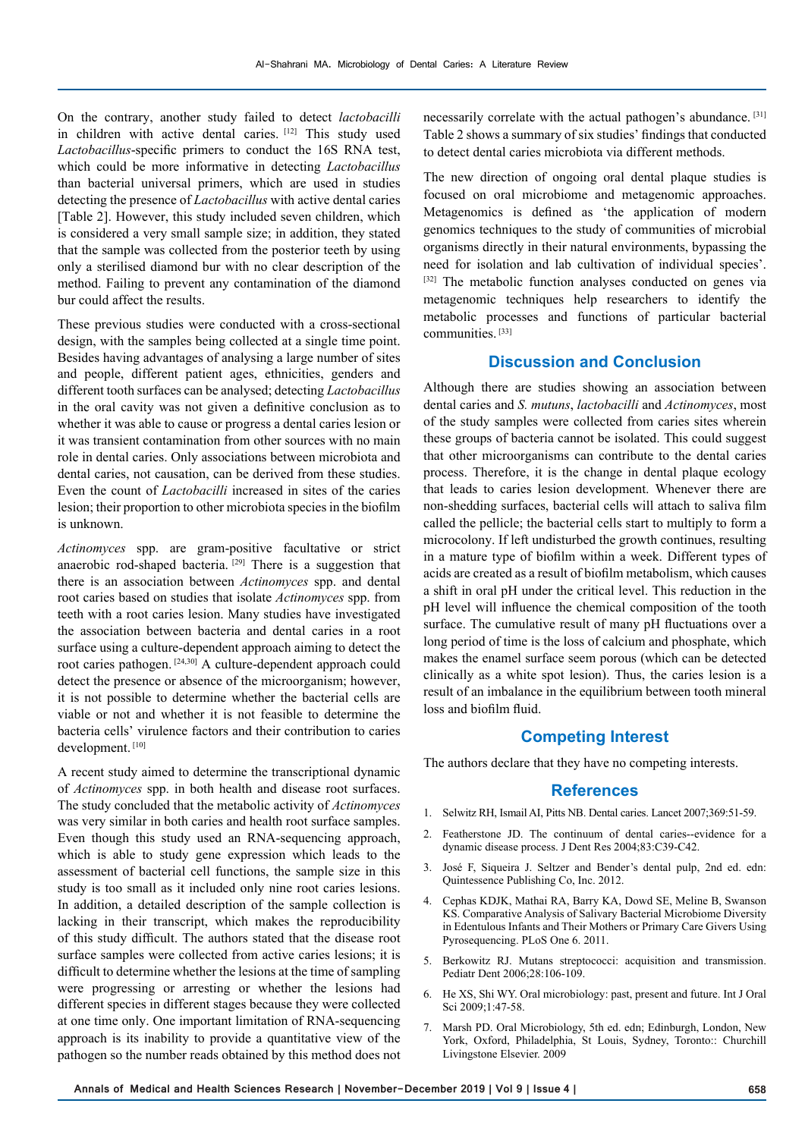On the contrary, another study failed to detect *lactobacilli* in children with active dental caries. [12] This study used *Lactobacillus*-specific primers to conduct the 16S RNA test, which could be more informative in detecting *Lactobacillus* than bacterial universal primers, which are used in studies detecting the presence of *Lactobacillus* with active dental caries [Table 2]. However, this study included seven children, which is considered a very small sample size; in addition, they stated that the sample was collected from the posterior teeth by using only a sterilised diamond bur with no clear description of the method. Failing to prevent any contamination of the diamond bur could affect the results.

These previous studies were conducted with a cross-sectional design, with the samples being collected at a single time point. Besides having advantages of analysing a large number of sites and people, different patient ages, ethnicities, genders and different tooth surfaces can be analysed; detecting *Lactobacillus* in the oral cavity was not given a definitive conclusion as to whether it was able to cause or progress a dental caries lesion or it was transient contamination from other sources with no main role in dental caries. Only associations between microbiota and dental caries, not causation, can be derived from these studies. Even the count of *Lactobacilli* increased in sites of the caries lesion; their proportion to other microbiota species in the biofilm is unknown.

*Actinomyces* spp. are gram-positive facultative or strict anaerobic rod-shaped bacteria. [29] There is a suggestion that there is an association between *Actinomyces* spp. and dental root caries based on studies that isolate *Actinomyces* spp. from teeth with a root caries lesion. Many studies have investigated the association between bacteria and dental caries in a root surface using a culture-dependent approach aiming to detect the root caries pathogen. [24,30] A culture-dependent approach could detect the presence or absence of the microorganism; however, it is not possible to determine whether the bacterial cells are viable or not and whether it is not feasible to determine the bacteria cells' virulence factors and their contribution to caries development.<sup>[10]</sup>

A recent study aimed to determine the transcriptional dynamic of *Actinomyces* spp. in both health and disease root surfaces. The study concluded that the metabolic activity of *Actinomyces* was very similar in both caries and health root surface samples. Even though this study used an RNA-sequencing approach, which is able to study gene expression which leads to the assessment of bacterial cell functions, the sample size in this study is too small as it included only nine root caries lesions. In addition, a detailed description of the sample collection is lacking in their transcript, which makes the reproducibility of this study difficult. The authors stated that the disease root surface samples were collected from active caries lesions; it is difficult to determine whether the lesions at the time of sampling were progressing or arresting or whether the lesions had different species in different stages because they were collected at one time only. One important limitation of RNA-sequencing approach is its inability to provide a quantitative view of the pathogen so the number reads obtained by this method does not

necessarily correlate with the actual pathogen's abundance. [31] Table 2 shows a summary of six studies' findings that conducted to detect dental caries microbiota via different methods.

The new direction of ongoing oral dental plaque studies is focused on oral microbiome and metagenomic approaches. Metagenomics is defined as 'the application of modern genomics techniques to the study of communities of microbial organisms directly in their natural environments, bypassing the need for isolation and lab cultivation of individual species'. [32] The metabolic function analyses conducted on genes via metagenomic techniques help researchers to identify the metabolic processes and functions of particular bacterial communities. [33]

## **Discussion and Conclusion**

Although there are studies showing an association between dental caries and *S. mutuns*, *lactobacilli* and *Actinomyces*, most of the study samples were collected from caries sites wherein these groups of bacteria cannot be isolated. This could suggest that other microorganisms can contribute to the dental caries process. Therefore, it is the change in dental plaque ecology that leads to caries lesion development. Whenever there are non-shedding surfaces, bacterial cells will attach to saliva film called the pellicle; the bacterial cells start to multiply to form a microcolony. If left undisturbed the growth continues, resulting in a mature type of biofilm within a week. Different types of acids are created as a result of biofilm metabolism, which causes a shift in oral pH under the critical level. This reduction in the pH level will influence the chemical composition of the tooth surface. The cumulative result of many pH fluctuations over a long period of time is the loss of calcium and phosphate, which makes the enamel surface seem porous (which can be detected clinically as a white spot lesion). Thus, the caries lesion is a result of an imbalance in the equilibrium between tooth mineral loss and biofilm fluid.

## **Competing Interest**

The authors declare that they have no competing interests.

#### **References**

- 1. Selwitz RH, Ismail AI, Pitts NB. Dental caries. Lancet 2007;369:51-59.
- 2. Featherstone JD. The continuum of dental caries--evidence for a dynamic disease process. J Dent Res 2004;83:C39-C42.
- 3. José F, Siqueira J. Seltzer and Bender's dental pulp, 2nd ed. edn: Quintessence Publishing Co, Inc. 2012.
- 4. Cephas KDJK, Mathai RA, Barry KA, Dowd SE, Meline B, Swanson KS. Comparative Analysis of Salivary Bacterial Microbiome Diversity in Edentulous Infants and Their Mothers or Primary Care Givers Using Pyrosequencing. PLoS One 6. 2011.
- 5. Berkowitz RJ. Mutans streptococci: acquisition and transmission. Pediatr Dent 2006;28:106-109.
- 6. He XS, Shi WY. Oral microbiology: past, present and future. Int J Oral Sci 2009;1:47-58.
- 7. Marsh PD. Oral Microbiology, 5th ed. edn; Edinburgh, London, New York, Oxford, Philadelphia, St Louis, Sydney, Toronto:: Churchill Livingstone Elsevier. 2009